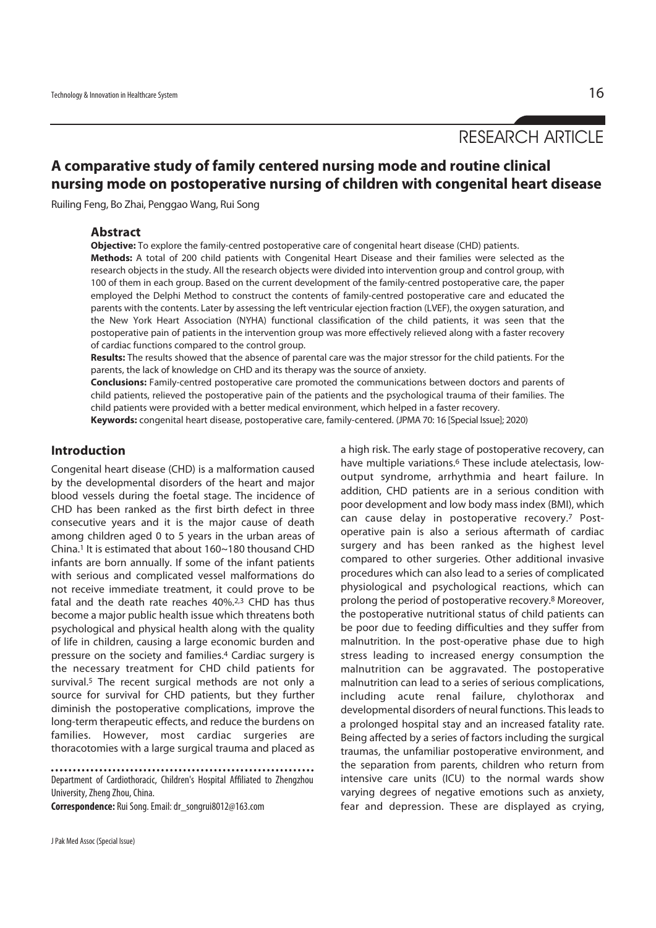RESEARCH ARTICLE

# **A comparative study of family centered nursing mode and routine clinical nursing mode on postoperative nursing of children with congenital heart disease**

Ruiling Feng, Bo Zhai, Penggao Wang, Rui Song

#### **Abstract**

**Objective:** To explore the family-centred postoperative care of congenital heart disease (CHD) patients.

**Methods:** A total of 200 child patients with Congenital Heart Disease and their families were selected as the research objects in the study. All the research objects were divided into intervention group and control group, with 100 of them in each group. Based on the current development of the family-centred postoperative care, the paper employed the Delphi Method to construct the contents of family-centred postoperative care and educated the parents with the contents. Later by assessing the left ventricular ejection fraction (LVEF), the oxygen saturation, and the New York Heart Association (NYHA) functional classification of the child patients, it was seen that the postoperative pain of patients in the intervention group was more effectively relieved along with a faster recovery of cardiac functions compared to the control group.

**Results:** The results showed that the absence of parental care was the major stressor for the child patients. For the parents, the lack of knowledge on CHD and its therapy was the source of anxiety.

**Conclusions:** Family-centred postoperative care promoted the communications between doctors and parents of child patients, relieved the postoperative pain of the patients and the psychological trauma of their families. The child patients were provided with a better medical environment, which helped in a faster recovery.

**Keywords:** congenital heart disease, postoperative care, family-centered. (JPMA 70: 16 [Special Issue]; 2020)

### **Introduction**

Congenital heart disease (CHD) is a malformation caused by the developmental disorders of the heart and major blood vessels during the foetal stage. The incidence of CHD has been ranked as the first birth defect in three consecutive years and it is the major cause of death among children aged 0 to 5 years in the urban areas of China.1 It is estimated that about 160~180 thousand CHD infants are born annually. If some of the infant patients with serious and complicated vessel malformations do not receive immediate treatment, it could prove to be fatal and the death rate reaches 40%.2,3 CHD has thus become a major public health issue which threatens both psychological and physical health along with the quality of life in children, causing a large economic burden and pressure on the society and families.4 Cardiac surgery is the necessary treatment for CHD child patients for survival.<sup>5</sup> The recent surgical methods are not only a source for survival for CHD patients, but they further diminish the postoperative complications, improve the long-term therapeutic effects, and reduce the burdens on families. However, most cardiac surgeries are thoracotomies with a large surgical trauma and placed as

Department of Cardiothoracic, Children's Hospital Affiliated to Zhengzhou University, Zheng Zhou, China.

**Correspondence:** Rui Song. Email: dr\_songrui8012@163.com

a high risk. The early stage of postoperative recovery, can have multiple variations.<sup>6</sup> These include atelectasis, lowoutput syndrome, arrhythmia and heart failure. In addition, CHD patients are in a serious condition with poor development and low body mass index (BMI), which can cause delay in postoperative recovery.7 Postoperative pain is also a serious aftermath of cardiac surgery and has been ranked as the highest level compared to other surgeries. Other additional invasive procedures which can also lead to a series of complicated physiological and psychological reactions, which can prolong the period of postoperative recovery.8 Moreover, the postoperative nutritional status of child patients can be poor due to feeding difficulties and they suffer from malnutrition. In the post-operative phase due to high stress leading to increased energy consumption the malnutrition can be aggravated. The postoperative malnutrition can lead to a series of serious complications, including acute renal failure, chylothorax and developmental disorders of neural functions. This leads to a prolonged hospital stay and an increased fatality rate. Being affected by a series of factors including the surgical traumas, the unfamiliar postoperative environment, and the separation from parents, children who return from intensive care units (ICU) to the normal wards show varying degrees of negative emotions such as anxiety, fear and depression. These are displayed as crying,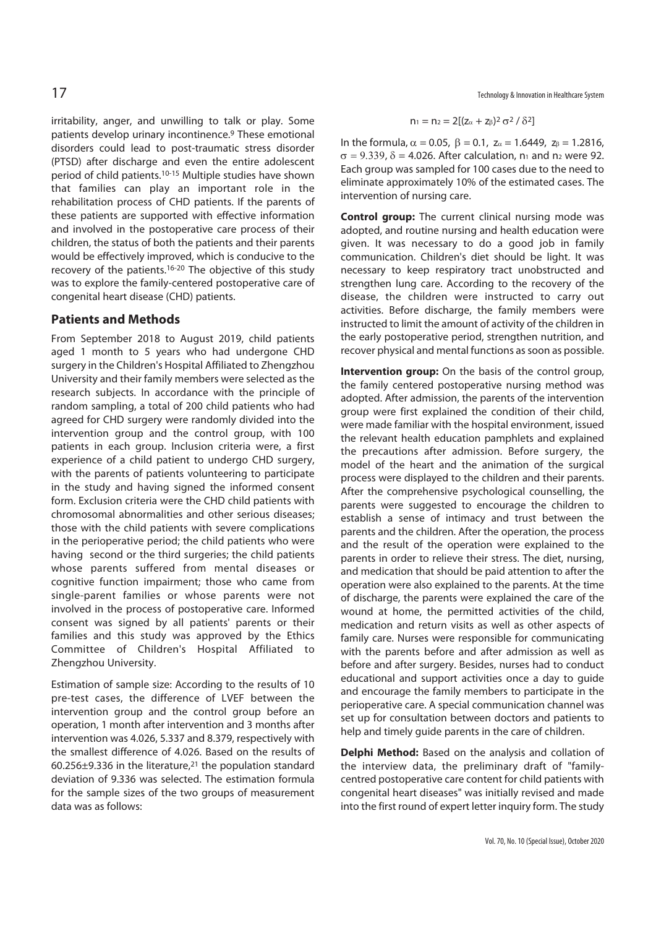irritability, anger, and unwilling to talk or play. Some patients develop urinary incontinence.9 These emotional disorders could lead to post-traumatic stress disorder (PTSD) after discharge and even the entire adolescent period of child patients.10-15 Multiple studies have shown that families can play an important role in the rehabilitation process of CHD patients. If the parents of these patients are supported with effective information and involved in the postoperative care process of their children, the status of both the patients and their parents would be effectively improved, which is conducive to the recovery of the patients.16-20 The objective of this study was to explore the family-centered postoperative care of congenital heart disease (CHD) patients.

## **Patients and Methods**

From September 2018 to August 2019, child patients aged 1 month to 5 years who had undergone CHD surgery in the Children's Hospital Affiliated to Zhengzhou University and their family members were selected as the research subjects. In accordance with the principle of random sampling, a total of 200 child patients who had agreed for CHD surgery were randomly divided into the intervention group and the control group, with 100 patients in each group. Inclusion criteria were, a first experience of a child patient to undergo CHD surgery, with the parents of patients volunteering to participate in the study and having signed the informed consent form. Exclusion criteria were the CHD child patients with chromosomal abnormalities and other serious diseases; those with the child patients with severe complications in the perioperative period; the child patients who were having second or the third surgeries; the child patients whose parents suffered from mental diseases or cognitive function impairment; those who came from single-parent families or whose parents were not involved in the process of postoperative care. Informed consent was signed by all patients' parents or their families and this study was approved by the Ethics Committee of Children's Hospital Affiliated to Zhengzhou University.

Estimation of sample size: According to the results of 10 pre-test cases, the difference of LVEF between the intervention group and the control group before an operation, 1 month after intervention and 3 months after intervention was 4.026, 5.337 and 8.379, respectively with the smallest difference of 4.026. Based on the results of 60.256±9.336 in the literature,21 the population standard deviation of 9.336 was selected. The estimation formula for the sample sizes of the two groups of measurement data was as follows:

 $17$  Technology & Innovation in Healthcare System

$$
n_1=n_2=2[(z_\alpha+z_\beta)^2\,\sigma^2\,/\,\delta^2]
$$

In the formula,  $\alpha = 0.05$ ,  $\beta = 0.1$ ,  $z_{\alpha} = 1.6449$ ,  $z_{\beta} = 1.2816$ ,  $\sigma = 9.339$ ,  $\delta = 4.026$ . After calculation, n<sub>1</sub> and n<sub>2</sub> were 92. Each group was sampled for 100 cases due to the need to eliminate approximately 10% of the estimated cases. The intervention of nursing care.

**Control group:** The current clinical nursing mode was adopted, and routine nursing and health education were given. It was necessary to do a good job in family communication. Children's diet should be light. It was necessary to keep respiratory tract unobstructed and strengthen lung care. According to the recovery of the disease, the children were instructed to carry out activities. Before discharge, the family members were instructed to limit the amount of activity of the children in the early postoperative period, strengthen nutrition, and recover physical and mental functions as soon as possible.

**Intervention group:** On the basis of the control group, the family centered postoperative nursing method was adopted. After admission, the parents of the intervention group were first explained the condition of their child, were made familiar with the hospital environment, issued the relevant health education pamphlets and explained the precautions after admission. Before surgery, the model of the heart and the animation of the surgical process were displayed to the children and their parents. After the comprehensive psychological counselling, the parents were suggested to encourage the children to establish a sense of intimacy and trust between the parents and the children. After the operation, the process and the result of the operation were explained to the parents in order to relieve their stress. The diet, nursing, and medication that should be paid attention to after the operation were also explained to the parents. At the time of discharge, the parents were explained the care of the wound at home, the permitted activities of the child, medication and return visits as well as other aspects of family care. Nurses were responsible for communicating with the parents before and after admission as well as before and after surgery. Besides, nurses had to conduct educational and support activities once a day to guide and encourage the family members to participate in the perioperative care. A special communication channel was set up for consultation between doctors and patients to help and timely guide parents in the care of children.

**Delphi Method:** Based on the analysis and collation of the interview data, the preliminary draft of "familycentred postoperative care content for child patients with congenital heart diseases" was initially revised and made into the first round of expert letter inquiry form. The study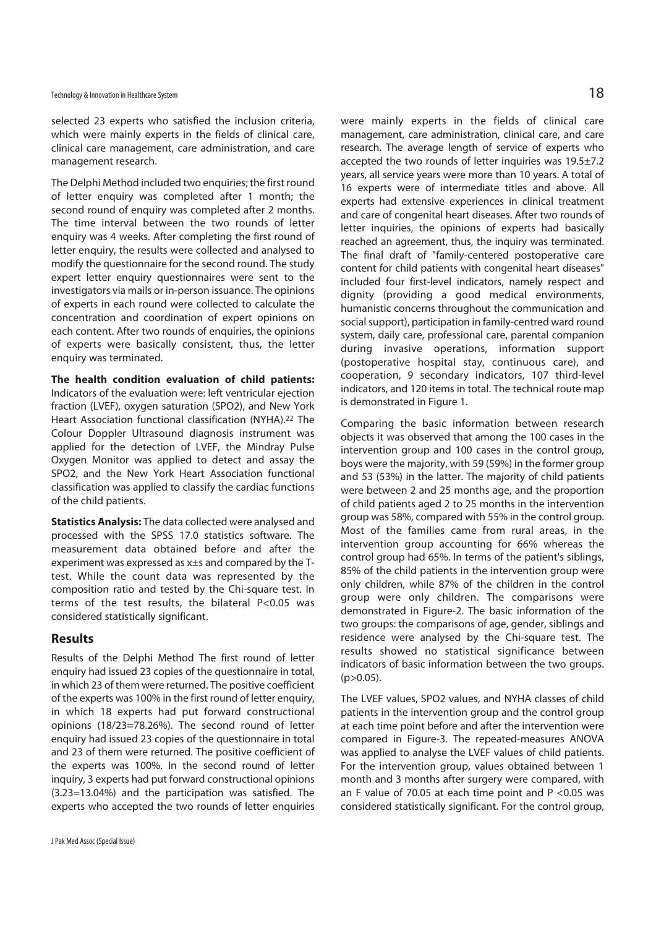selected 23 experts who satisfied the inclusion criteria, which were mainly experts in the fields of clinical care, clinical care management, care administration, and care management research.

The Delphi Method included two enquiries; the first round of letter enquiry was completed after 1 month; the second round of enquiry was completed after 2 months. The time interval between the two rounds of letter enquiry was 4 weeks. After completing the first round of letter enquiry, the results were collected and analysed to modify the questionnaire for the second round. The study expert letter enquiry questionnaires were sent to the investigators via mails or in-person issuance. The opinions of experts in each round were collected to calculate the concentration and coordination of expert opinions on each content. After two rounds of enquiries, the opinions of experts were basically consistent, thus, the letter enquiry was terminated.

**The health condition evaluation of child patients:** Indicators of the evaluation were: left ventricular ejection fraction (LVEF), oxygen saturation (SPO2), and New York Heart Association functional classification (NYHA).22 The Colour Doppler Ultrasound diagnosis instrument was applied for the detection of LVEF, the Mindray Pulse Oxygen Monitor was applied to detect and assay the SPO2, and the New York Heart Association functional classification was applied to classify the cardiac functions of the child patients.

**Statistics Analysis:** The data collected were analysed and processed with the SPSS 17.0 statistics software. The measurement data obtained before and after the experiment was expressed as x±s and compared by the Ttest. While the count data was represented by the composition ratio and tested by the Chi-square test. In terms of the test results, the bilateral P<0.05 was considered statistically significant.

## **Results**

Results of the Delphi Method The first round of letter enquiry had issued 23 copies of the questionnaire in total, in which 23 of them were returned. The positive coefficient of the experts was 100% in the first round of letter enquiry, in which 18 experts had put forward constructional opinions (18/23=78.26%). The second round of letter enquiry had issued 23 copies of the questionnaire in total and 23 of them were returned. The positive coefficient of the experts was 100%. In the second round of letter inquiry, 3 experts had put forward constructional opinions (3.23=13.04%) and the participation was satisfied. The experts who accepted the two rounds of letter enquiries

were mainly experts in the fields of clinical care management, care administration, clinical care, and care research. The average length of service of experts who accepted the two rounds of letter inquiries was 19.5±7.2 years, all service years were more than 10 years. A total of 16 experts were of intermediate titles and above. All experts had extensive experiences in clinical treatment and care of congenital heart diseases. After two rounds of letter inquiries, the opinions of experts had basically reached an agreement, thus, the inquiry was terminated. The final draft of "family-centered postoperative care content for child patients with congenital heart diseases" included four first-level indicators, namely respect and dignity (providing a good medical environments, humanistic concerns throughout the communication and social support), participation in family-centred ward round system, daily care, professional care, parental companion during invasive operations, information support (postoperative hospital stay, continuous care), and cooperation, 9 secondary indicators, 107 third-level indicators, and 120 items in total. The technical route map is demonstrated in Figure 1.

Comparing the basic information between research objects it was observed that among the 100 cases in the intervention group and 100 cases in the control group, boys were the majority, with 59 (59%) in the former group and 53 (53%) in the latter. The majority of child patients were between 2 and 25 months age, and the proportion of child patients aged 2 to 25 months in the intervention group was 58%, compared with 55% in the control group. Most of the families came from rural areas, in the intervention group accounting for 66% whereas the control group had 65%. In terms of the patient's siblings, 85% of the child patients in the intervention group were only children, while 87% of the children in the control group were only children. The comparisons were demonstrated in Figure-2. The basic information of the two groups: the comparisons of age, gender, siblings and residence were analysed by the Chi-square test. The results showed no statistical significance between indicators of basic information between the two groups.  $(p>0.05)$ .

The LVEF values, SPO2 values, and NYHA classes of child patients in the intervention group and the control group at each time point before and after the intervention were compared in Figure-3. The repeated-measures ANOVA was applied to analyse the LVEF values of child patients. For the intervention group, values obtained between 1 month and 3 months after surgery were compared, with an F value of 70.05 at each time point and P <0.05 was considered statistically significant. For the control group,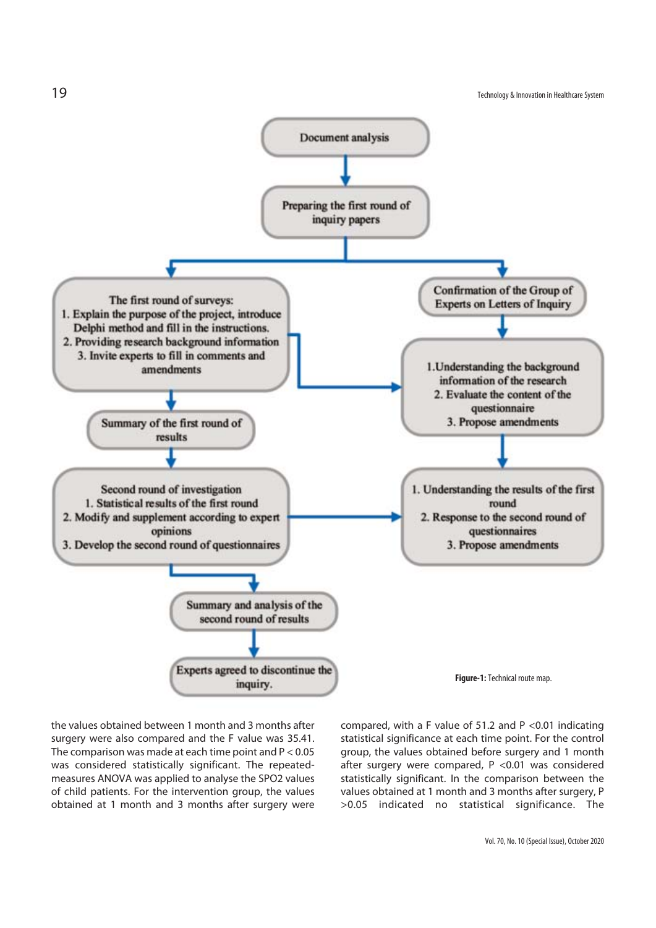

the values obtained between 1 month and 3 months after surgery were also compared and the F value was 35.41. The comparison was made at each time point and P < 0.05 was considered statistically significant. The repeatedmeasures ANOVA was applied to analyse the SPO2 values of child patients. For the intervention group, the values obtained at 1 month and 3 months after surgery were

compared, with a F value of 51.2 and P <0.01 indicating statistical significance at each time point. For the control group, the values obtained before surgery and 1 month after surgery were compared, P <0.01 was considered statistically significant. In the comparison between the values obtained at 1 month and 3 months after surgery, P >0.05 indicated no statistical significance. The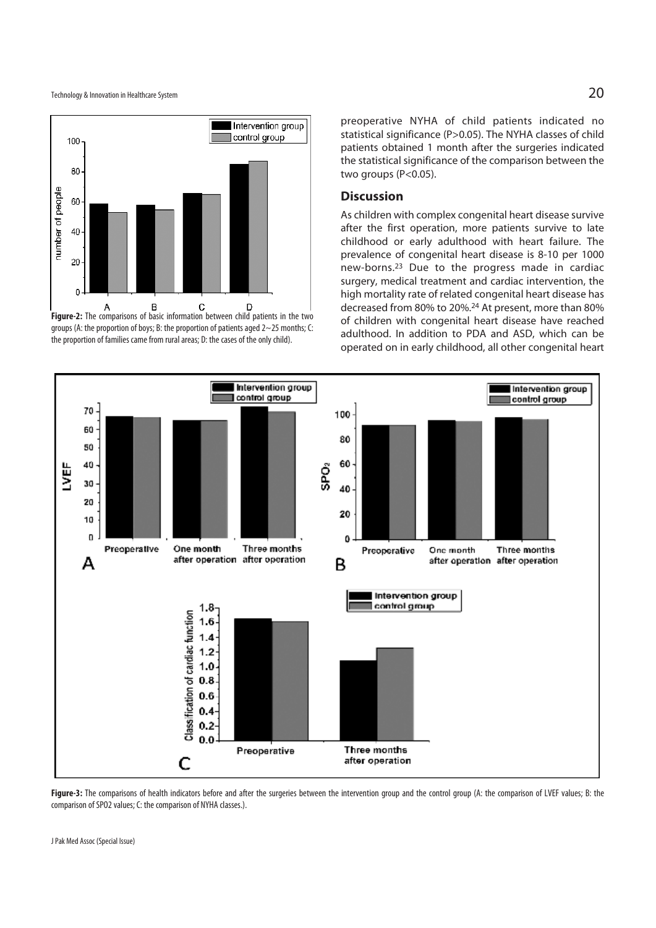

groups (A: the proportion of boys; B: the proportion of patients aged 2~25 months; C: the proportion of families came from rural areas; D: the cases of the only child).

preoperative NYHA of child patients indicated no statistical significance (P>0.05). The NYHA classes of child patients obtained 1 month after the surgeries indicated the statistical significance of the comparison between the two groups (P<0.05).

#### **Discussion**

As children with complex congenital heart disease survive after the first operation, more patients survive to late childhood or early adulthood with heart failure. The prevalence of congenital heart disease is 8-10 per 1000 new-borns.23 Due to the progress made in cardiac surgery, medical treatment and cardiac intervention, the high mortality rate of related congenital heart disease has decreased from 80% to 20%.24 At present, more than 80% of children with congenital heart disease have reached adulthood. In addition to PDA and ASD, which can be operated on in early childhood, all other congenital heart



Figure-3: The comparisons of health indicators before and after the surgeries between the intervention group and the control group (A: the comparison of LVEF values; B: the comparison of SPO2 values; C: the comparison of NYHA classes.).

J Pak Med Assoc (Special Issue)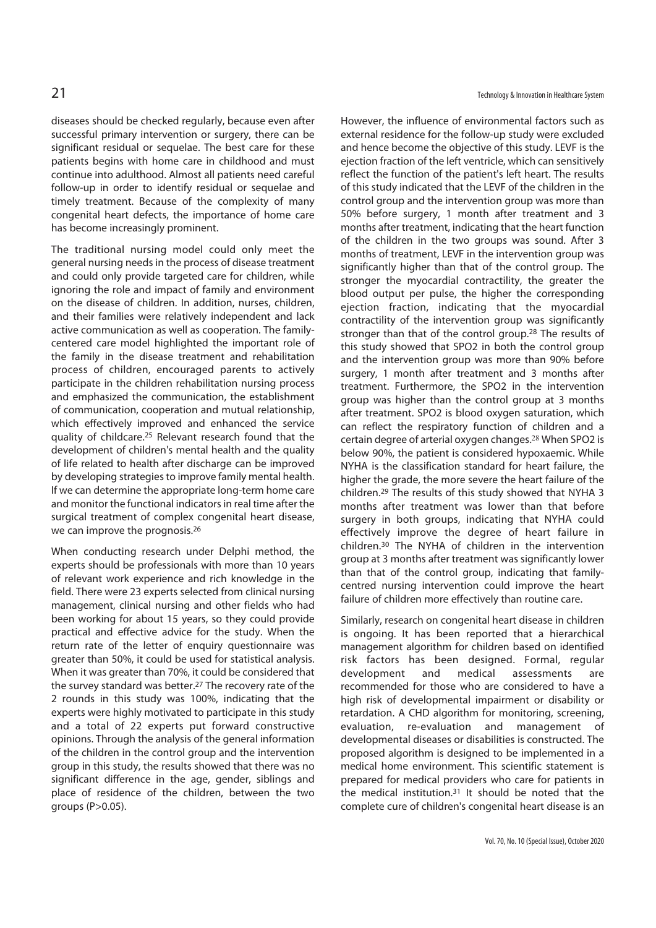diseases should be checked regularly, because even after successful primary intervention or surgery, there can be significant residual or sequelae. The best care for these patients begins with home care in childhood and must continue into adulthood. Almost all patients need careful follow-up in order to identify residual or sequelae and timely treatment. Because of the complexity of many congenital heart defects, the importance of home care has become increasingly prominent.

The traditional nursing model could only meet the general nursing needs in the process of disease treatment and could only provide targeted care for children, while ignoring the role and impact of family and environment on the disease of children. In addition, nurses, children, and their families were relatively independent and lack active communication as well as cooperation. The familycentered care model highlighted the important role of the family in the disease treatment and rehabilitation process of children, encouraged parents to actively participate in the children rehabilitation nursing process and emphasized the communication, the establishment of communication, cooperation and mutual relationship, which effectively improved and enhanced the service quality of childcare.25 Relevant research found that the development of children's mental health and the quality of life related to health after discharge can be improved by developing strategies to improve family mental health. If we can determine the appropriate long-term home care and monitor the functional indicators in real time after the surgical treatment of complex congenital heart disease, we can improve the prognosis.26

When conducting research under Delphi method, the experts should be professionals with more than 10 years of relevant work experience and rich knowledge in the field. There were 23 experts selected from clinical nursing management, clinical nursing and other fields who had been working for about 15 years, so they could provide practical and effective advice for the study. When the return rate of the letter of enquiry questionnaire was greater than 50%, it could be used for statistical analysis. When it was greater than 70%, it could be considered that the survey standard was better.27 The recovery rate of the 2 rounds in this study was 100%, indicating that the experts were highly motivated to participate in this study and a total of 22 experts put forward constructive opinions. Through the analysis of the general information of the children in the control group and the intervention group in this study, the results showed that there was no significant difference in the age, gender, siblings and place of residence of the children, between the two groups (P>0.05).

However, the influence of environmental factors such as external residence for the follow-up study were excluded and hence become the objective of this study. LEVF is the ejection fraction of the left ventricle, which can sensitively reflect the function of the patient's left heart. The results of this study indicated that the LEVF of the children in the control group and the intervention group was more than 50% before surgery, 1 month after treatment and 3 months after treatment, indicating that the heart function of the children in the two groups was sound. After 3 months of treatment, LEVF in the intervention group was significantly higher than that of the control group. The stronger the myocardial contractility, the greater the blood output per pulse, the higher the corresponding ejection fraction, indicating that the myocardial contractility of the intervention group was significantly stronger than that of the control group.28 The results of this study showed that SPO2 in both the control group and the intervention group was more than 90% before surgery, 1 month after treatment and 3 months after treatment. Furthermore, the SPO2 in the intervention group was higher than the control group at 3 months after treatment. SPO2 is blood oxygen saturation, which can reflect the respiratory function of children and a certain degree of arterial oxygen changes.<sup>28</sup> When SPO2 is below 90%, the patient is considered hypoxaemic. While NYHA is the classification standard for heart failure, the higher the grade, the more severe the heart failure of the children.29 The results of this study showed that NYHA 3 months after treatment was lower than that before surgery in both groups, indicating that NYHA could effectively improve the degree of heart failure in children.30 The NYHA of children in the intervention group at 3 months after treatment was significantly lower than that of the control group, indicating that familycentred nursing intervention could improve the heart failure of children more effectively than routine care.

Similarly, research on congenital heart disease in children is ongoing. It has been reported that a hierarchical management algorithm for children based on identified risk factors has been designed. Formal, regular development and medical assessments are recommended for those who are considered to have a high risk of developmental impairment or disability or retardation. A CHD algorithm for monitoring, screening, evaluation, re-evaluation and management of developmental diseases or disabilities is constructed. The proposed algorithm is designed to be implemented in a medical home environment. This scientific statement is prepared for medical providers who care for patients in the medical institution.31 It should be noted that the complete cure of children's congenital heart disease is an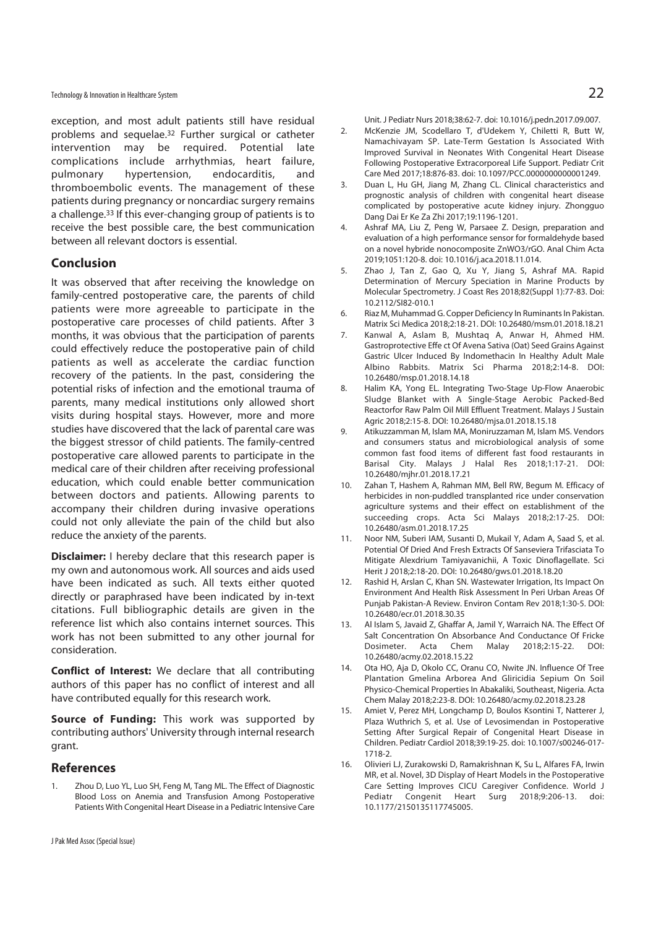exception, and most adult patients still have residual problems and sequelae.32 Further surgical or catheter intervention may be required. Potential late complications include arrhythmias, heart failure, pulmonary hypertension, endocarditis, and thromboembolic events. The management of these patients during pregnancy or noncardiac surgery remains a challenge.33 If this ever-changing group of patients is to receive the best possible care, the best communication between all relevant doctors is essential.

### **Conclusion**

It was observed that after receiving the knowledge on family-centred postoperative care, the parents of child patients were more agreeable to participate in the postoperative care processes of child patients. After 3 months, it was obvious that the participation of parents could effectively reduce the postoperative pain of child patients as well as accelerate the cardiac function recovery of the patients. In the past, considering the potential risks of infection and the emotional trauma of parents, many medical institutions only allowed short visits during hospital stays. However, more and more studies have discovered that the lack of parental care was the biggest stressor of child patients. The family-centred postoperative care allowed parents to participate in the medical care of their children after receiving professional education, which could enable better communication between doctors and patients. Allowing parents to accompany their children during invasive operations could not only alleviate the pain of the child but also reduce the anxiety of the parents.

**Disclaimer:** I hereby declare that this research paper is my own and autonomous work. All sources and aids used have been indicated as such. All texts either quoted directly or paraphrased have been indicated by in-text citations. Full bibliographic details are given in the reference list which also contains internet sources. This work has not been submitted to any other journal for consideration.

**Conflict of Interest:** We declare that all contributing authors of this paper has no conflict of interest and all have contributed equally for this research work.

**Source of Funding:** This work was supported by contributing authors' University through internal research grant.

# **References**

1. Zhou D, Luo YL, Luo SH, Feng M, Tang ML. The Effect of Diagnostic Blood Loss on Anemia and Transfusion Among Postoperative Patients With Congenital Heart Disease in a Pediatric Intensive Care Unit. J Pediatr Nurs 2018;38:62-7. doi: 10.1016/j.pedn.2017.09.007.

- 2. McKenzie JM, Scodellaro T, d'Udekem Y, Chiletti R, Butt W, Namachivayam SP. Late-Term Gestation Is Associated With Improved Survival in Neonates With Congenital Heart Disease Following Postoperative Extracorporeal Life Support. Pediatr Crit Care Med 2017;18:876-83. doi: 10.1097/PCC.0000000000001249.
- 3. Duan L, Hu GH, Jiang M, Zhang CL. Clinical characteristics and prognostic analysis of children with congenital heart disease complicated by postoperative acute kidney injury. Zhongguo Dang Dai Er Ke Za Zhi 2017;19:1196-1201.
- 4. Ashraf MA, Liu Z, Peng W, Parsaee Z. Design, preparation and evaluation of a high performance sensor for formaldehyde based on a novel hybride nonocomposite ZnWO3/rGO. Anal Chim Acta 2019;1051:120-8. doi: 10.1016/j.aca.2018.11.014.
- 5. Zhao J, Tan Z, Gao Q, Xu Y, Jiang S, Ashraf MA. Rapid Determination of Mercury Speciation in Marine Products by Molecular Spectrometry. J Coast Res 2018;82(Suppl 1):77-83. Doi: 10.2112/SI82-010.1
- 6. Riaz M, Muhammad G. Copper Deficiency In Ruminants In Pakistan. Matrix Sci Medica 2018;2:18-21. DOI: 10.26480/msm.01.2018.18.21
- 7. Kanwal A, Aslam B, Mushtaq A, Anwar H, Ahmed HM. Gastroprotective Effe ct Of Avena Sativa (Oat) Seed Grains Against Gastric Ulcer Induced By Indomethacin In Healthy Adult Male Albino Rabbits. Matrix Sci Pharma 2018;2:14-8. DOI: 10.26480/msp.01.2018.14.18
- 8. Halim KA, Yong EL. Integrating Two-Stage Up-Flow Anaerobic Sludge Blanket with A Single-Stage Aerobic Packed-Bed Reactorfor Raw Palm Oil Mill Effluent Treatment. Malays J Sustain Agric 2018;2:15-8. DOI: 10.26480/mjsa.01.2018.15.18
- 9. Atikuzzamman M, Islam MA, Moniruzzaman M, Islam MS. Vendors and consumers status and microbiological analysis of some common fast food items of different fast food restaurants in Barisal City. Malays J Halal Res 2018;1:17-21. DOI: 10.26480/mjhr.01.2018.17.21
- 10. Zahan T, Hashem A, Rahman MM, Bell RW, Begum M. Efficacy of herbicides in non-puddled transplanted rice under conservation agriculture systems and their effect on establishment of the succeeding crops. Acta Sci Malays 2018;2:17-25. DOI: 10.26480/asm.01.2018.17.25
- 11. Noor NM, Suberi IAM, Susanti D, Mukail Y, Adam A, Saad S, et al. Potential Of Dried And Fresh Extracts Of Sanseviera Trifasciata To Mitigate Alexdrium Tamiyavanichii, A Toxic Dinoflagellate. Sci Herit J 2018;2:18-20. DOI: 10.26480/gws.01.2018.18.20
- 12. Rashid H, Arslan C, Khan SN. Wastewater Irrigation, Its Impact On Environment And Health Risk Assessment In Peri Urban Areas Of Punjab Pakistan-A Review. Environ Contam Rev 2018;1:30-5. DOI: 10.26480/ecr.01.2018.30.35
- 13. Al Islam S, Javaid Z, Ghaffar A, Jamil Y, Warraich NA. The Effect Of Salt Concentration On Absorbance And Conductance Of Fricke Dosimeter. Acta Chem Malay 2018;2:15-22. DOI: 10.26480/acmy.02.2018.15.22
- 14. Ota HO, Aja D, Okolo CC, Oranu CO, Nwite JN. Influence Of Tree Plantation Gmelina Arborea And Gliricidia Sepium On Soil Physico-Chemical Properties In Abakaliki, Southeast, Nigeria. Acta Chem Malay 2018;2:23-8. DOI: 10.26480/acmy.02.2018.23.28
- 15. Amiet V, Perez MH, Longchamp D, Boulos Ksontini T, Natterer J, Plaza Wuthrich S, et al. Use of Levosimendan in Postoperative Setting After Surgical Repair of Congenital Heart Disease in Children. Pediatr Cardiol 2018;39:19-25. doi: 10.1007/s00246-017- 1718-2.
- 16. Olivieri LJ, Zurakowski D, Ramakrishnan K, Su L, Alfares FA, Irwin MR, et al. Novel, 3D Display of Heart Models in the Postoperative Care Setting Improves CICU Caregiver Confidence. World J Pediatr Congenit Heart Surg 2018;9:206-13. doi: 10.1177/2150135117745005.